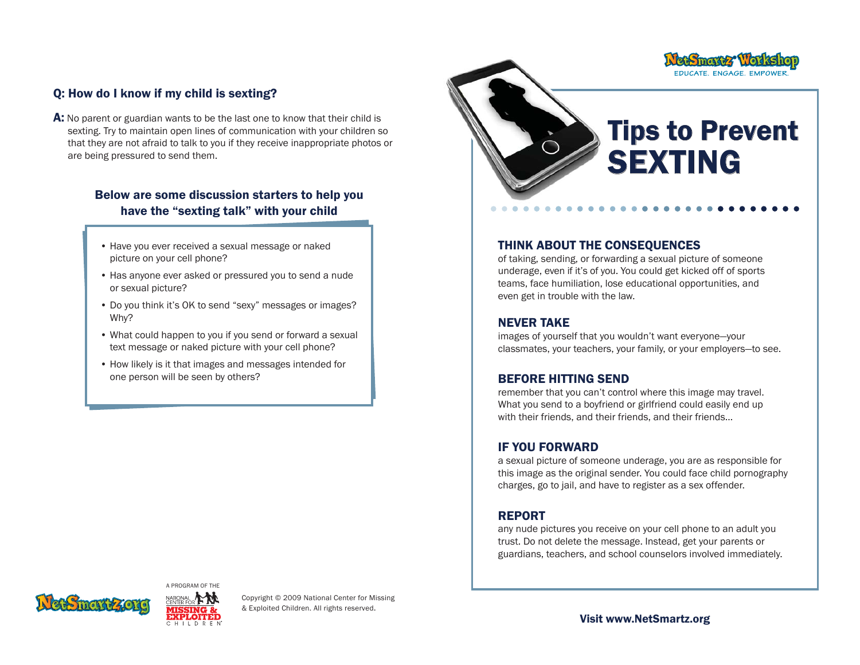## Q: How do I know if my child is sexting?

A: No parent or guardian wants to be the last one to know that their child is sexting. Try to maintain open lines of communication with your children so that they are not afraid to talk to you if they receive inappropriate photos or are being pressured to send them.

## Below are some discussion starters to help you have the "sexting talk" with your child

- Have you ever received a sexual message or naked picture on your cell phone?
- Has anyone ever asked or pressured you to send a nude or sexual picture?
- Do you think it's OK to send "sexy" messages or images? Why?
- What could happen to you if you send or forward a sexual text message or naked picture with your cell phone?
- How likely is it that images and messages intended for one person will be seen by others?



EDUCATE. ENGAGE. EMPOWER

#### THINK ABOUT THE CONSEQUENCES

of taking, sending, or forwarding a sexual picture of someone underage, even if it's of you. You could get kicked off of sports teams, face humiliation, lose educational opportunities, and even get in trouble with the law.

#### NEVER TAKE

images of yourself that you wouldn't want everyone—your classmates, your teachers, your family, or your employers—to see.

#### BEFORE HITTING SEND

remember that you can't control where this image may travel. What you send to a boyfriend or girlfriend could easily end up with their friends, and their friends, and their friends…

## IF YOU FORWARD

a sexual picture of someone underage, you are as responsible for this image as the original sender. You could face child pornography charges, go to jail, and have to register as a sex offender.

## REPORT

any nude pictures you receive on your cell phone to an adult you trust. Do not delete the message. Instead, get your parents or guardians, teachers, and school counselors involved immediately.





Copyright © 2009 National Center for Missing & Exploited Children. All rights reserved.

Visit www.NetSmartz.org